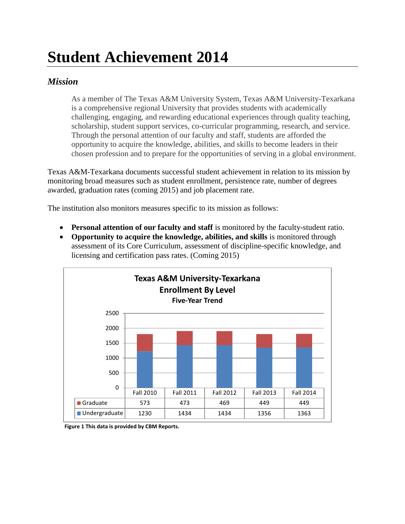## **Student Achievement 2014**

## *Mission*

As a member of The Texas A&M University System, Texas A&M University-Texarkana is a comprehensive regional University that provides students with academically challenging, engaging, and rewarding educational experiences through quality teaching, scholarship, student support services, co-curricular programming, research, and service. Through the personal attention of our faculty and staff, students are afforded the opportunity to acquire the knowledge, abilities, and skills to become leaders in their chosen profession and to prepare for the opportunities of serving in a global environment.

Texas A&M-Texarkana documents successful student achievement in relation to its mission by monitoring broad measures such as student enrollment, persistence rate, number of degrees awarded, graduation rates (coming 2015) and job placement rate.

The institution also monitors measures specific to its mission as follows:

- **Personal attention of our faculty and staff** is monitored by the faculty-student ratio.
- **Opportunity to acquire the knowledge, abilities, and skills** is monitored through assessment of its Core Curriculum, assessment of discipline-specific knowledge, and licensing and certification pass rates. (Coming 2015)



**Figure 1 This data is provided by CBM Reports.**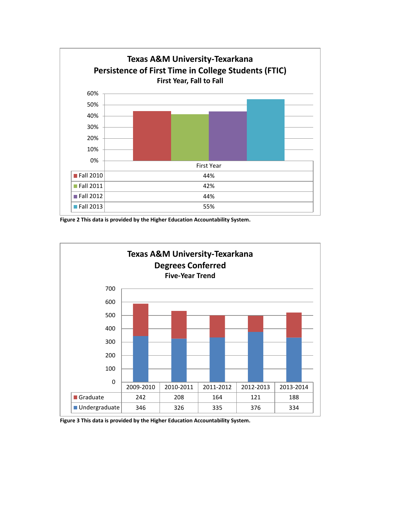

**Figure 2 This data is provided by the Higher Education Accountability System.**



**Figure 3 This data is provided by the Higher Education Accountability System.**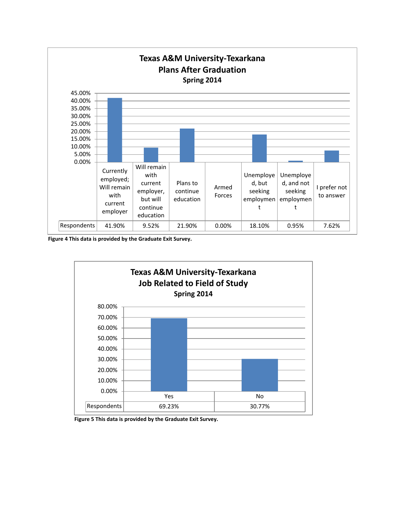

**Figure 4 This data is provided by the Graduate Exit Survey.**



**Figure 5 This data is provided by the Graduate Exit Survey.**